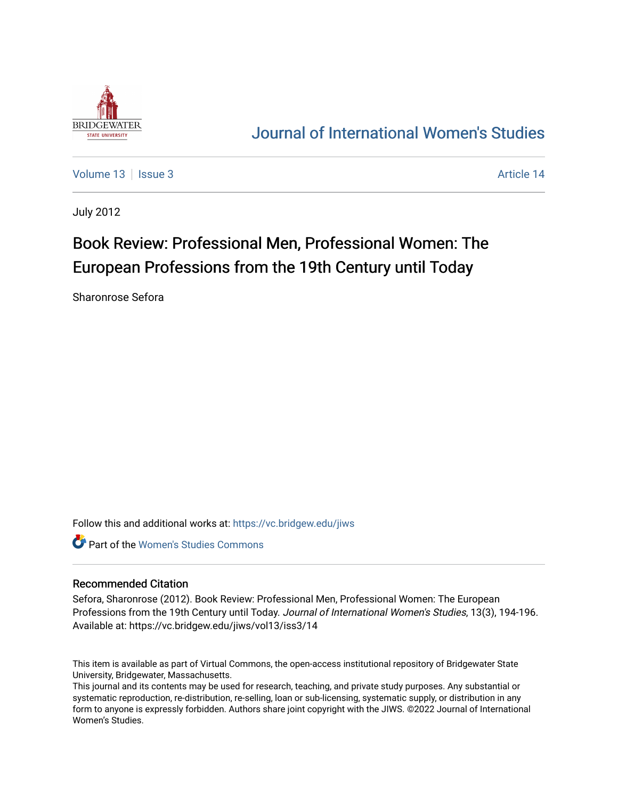

## [Journal of International Women's Studies](https://vc.bridgew.edu/jiws)

[Volume 13](https://vc.bridgew.edu/jiws/vol13) Setup 1 Setup 1 Article 14

July 2012

# Book Review: Professional Men, Professional Women: The European Professions from the 19th Century until Today

Sharonrose Sefora

Follow this and additional works at: [https://vc.bridgew.edu/jiws](https://vc.bridgew.edu/jiws?utm_source=vc.bridgew.edu%2Fjiws%2Fvol13%2Fiss3%2F14&utm_medium=PDF&utm_campaign=PDFCoverPages)

Part of the [Women's Studies Commons](http://network.bepress.com/hgg/discipline/561?utm_source=vc.bridgew.edu%2Fjiws%2Fvol13%2Fiss3%2F14&utm_medium=PDF&utm_campaign=PDFCoverPages) 

#### Recommended Citation

Sefora, Sharonrose (2012). Book Review: Professional Men, Professional Women: The European Professions from the 19th Century until Today. Journal of International Women's Studies, 13(3), 194-196. Available at: https://vc.bridgew.edu/jiws/vol13/iss3/14

This item is available as part of Virtual Commons, the open-access institutional repository of Bridgewater State University, Bridgewater, Massachusetts.

This journal and its contents may be used for research, teaching, and private study purposes. Any substantial or systematic reproduction, re-distribution, re-selling, loan or sub-licensing, systematic supply, or distribution in any form to anyone is expressly forbidden. Authors share joint copyright with the JIWS. ©2022 Journal of International Women's Studies.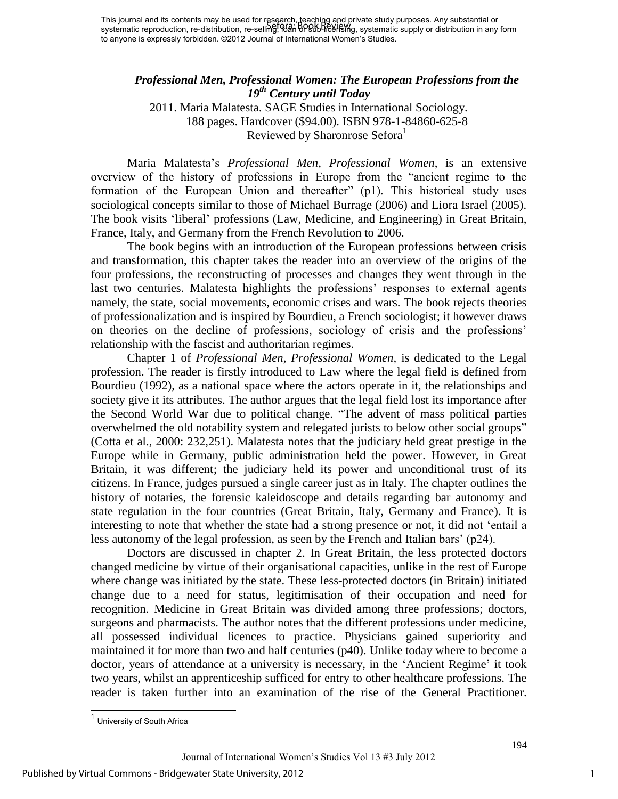This journal and its contents may be used for research, teaching and private study purposes. Any substantial or This journal and its contents may be used for research, loading and private study purposes. Any substantial or<br>systematic reproduction, re-distribution, re-selling, 00an BPSUb-liee FSMg, systematic supply or distribution i to anyone is expressly forbidden. ©2012 Journal of International Women's Studies.

### *Professional Men, Professional Women: The European Professions from the 19th Century until Today*

2011. Maria Malatesta. SAGE Studies in International Sociology. 188 pages. Hardcover (\$94.00). ISBN 978-1-84860-625-8 Reviewed by Sharonrose Sefora<sup>1</sup>

Maria Malatesta"s *Professional Men, Professional Women*, is an extensive overview of the history of professions in Europe from the "ancient regime to the formation of the European Union and thereafter" (p1). This historical study uses sociological concepts similar to those of Michael Burrage (2006) and Liora Israel (2005). The book visits "liberal" professions (Law, Medicine, and Engineering) in Great Britain, France, Italy, and Germany from the French Revolution to 2006.

The book begins with an introduction of the European professions between crisis and transformation, this chapter takes the reader into an overview of the origins of the four professions, the reconstructing of processes and changes they went through in the last two centuries. Malatesta highlights the professions' responses to external agents namely, the state, social movements, economic crises and wars. The book rejects theories of professionalization and is inspired by Bourdieu, a French sociologist; it however draws on theories on the decline of professions, sociology of crisis and the professions" relationship with the fascist and authoritarian regimes.

Chapter 1 of *Professional Men, Professional Women,* is dedicated to the Legal profession. The reader is firstly introduced to Law where the legal field is defined from Bourdieu (1992), as a national space where the actors operate in it, the relationships and society give it its attributes. The author argues that the legal field lost its importance after the Second World War due to political change. "The advent of mass political parties overwhelmed the old notability system and relegated jurists to below other social groups" (Cotta et al., 2000: 232,251). Malatesta notes that the judiciary held great prestige in the Europe while in Germany, public administration held the power. However, in Great Britain, it was different; the judiciary held its power and unconditional trust of its citizens. In France, judges pursued a single career just as in Italy. The chapter outlines the history of notaries, the forensic kaleidoscope and details regarding bar autonomy and state regulation in the four countries (Great Britain, Italy, Germany and France). It is interesting to note that whether the state had a strong presence or not, it did not "entail a less autonomy of the legal profession, as seen by the French and Italian bars' (p24).

Doctors are discussed in chapter 2. In Great Britain, the less protected doctors changed medicine by virtue of their organisational capacities, unlike in the rest of Europe where change was initiated by the state. These less-protected doctors (in Britain) initiated change due to a need for status, legitimisation of their occupation and need for recognition. Medicine in Great Britain was divided among three professions; doctors, surgeons and pharmacists. The author notes that the different professions under medicine, all possessed individual licences to practice. Physicians gained superiority and maintained it for more than two and half centuries (p40). Unlike today where to become a doctor, years of attendance at a university is necessary, in the 'Ancient Regime' it took two years, whilst an apprenticeship sufficed for entry to other healthcare professions. The reader is taken further into an examination of the rise of the General Practitioner.

 $\overline{\phantom{a}}$ 

1

<sup>&</sup>lt;sup>1</sup> University of South Africa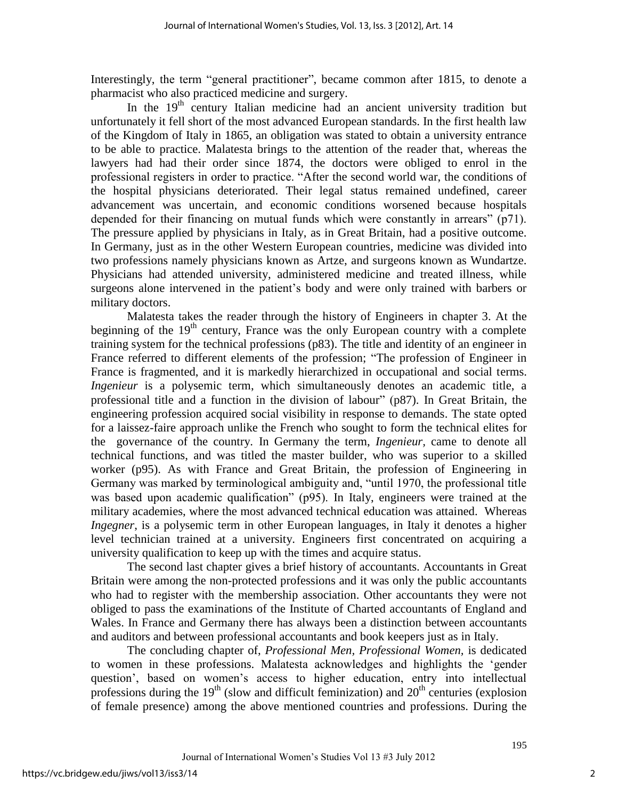Interestingly, the term "general practitioner", became common after 1815, to denote a pharmacist who also practiced medicine and surgery.

In the  $19<sup>th</sup>$  century Italian medicine had an ancient university tradition but unfortunately it fell short of the most advanced European standards. In the first health law of the Kingdom of Italy in 1865, an obligation was stated to obtain a university entrance to be able to practice. Malatesta brings to the attention of the reader that, whereas the lawyers had had their order since 1874, the doctors were obliged to enrol in the professional registers in order to practice. "After the second world war, the conditions of the hospital physicians deteriorated. Their legal status remained undefined, career advancement was uncertain, and economic conditions worsened because hospitals depended for their financing on mutual funds which were constantly in arrears" (p71). The pressure applied by physicians in Italy, as in Great Britain, had a positive outcome. In Germany, just as in the other Western European countries, medicine was divided into two professions namely physicians known as Artze, and surgeons known as Wundartze. Physicians had attended university, administered medicine and treated illness, while surgeons alone intervened in the patient's body and were only trained with barbers or military doctors.

Malatesta takes the reader through the history of Engineers in chapter 3. At the beginning of the  $19<sup>th</sup>$  century, France was the only European country with a complete training system for the technical professions (p83). The title and identity of an engineer in France referred to different elements of the profession; "The profession of Engineer in France is fragmented, and it is markedly hierarchized in occupational and social terms. *Ingenieur* is a polysemic term, which simultaneously denotes an academic title, a professional title and a function in the division of labour" (p87). In Great Britain, the engineering profession acquired social visibility in response to demands. The state opted for a laissez-faire approach unlike the French who sought to form the technical elites for the governance of the country. In Germany the term, *Ingenieur,* came to denote all technical functions, and was titled the master builder, who was superior to a skilled worker (p95). As with France and Great Britain, the profession of Engineering in Germany was marked by terminological ambiguity and, "until 1970, the professional title was based upon academic qualification" (p95). In Italy, engineers were trained at the military academies, where the most advanced technical education was attained. Whereas *Ingegner*, is a polysemic term in other European languages, in Italy it denotes a higher level technician trained at a university. Engineers first concentrated on acquiring a university qualification to keep up with the times and acquire status.

The second last chapter gives a brief history of accountants. Accountants in Great Britain were among the non-protected professions and it was only the public accountants who had to register with the membership association. Other accountants they were not obliged to pass the examinations of the Institute of Charted accountants of England and Wales. In France and Germany there has always been a distinction between accountants and auditors and between professional accountants and book keepers just as in Italy.

The concluding chapter of, *Professional Men, Professional Women,* is dedicated to women in these professions. Malatesta acknowledges and highlights the "gender question", based on women"s access to higher education, entry into intellectual professions during the  $19<sup>th</sup>$  (slow and difficult feminization) and  $20<sup>th</sup>$  centuries (explosion of female presence) among the above mentioned countries and professions. During the